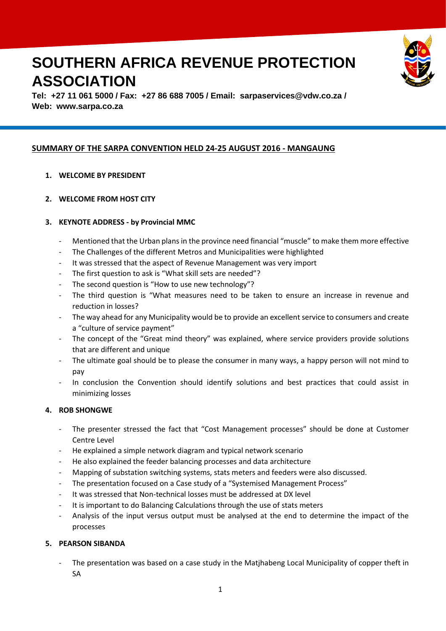# **SOUTHERN AFRICA REVENUE PROTECTION ASSOCIATION**



**Tel: +27 11 061 5000 / Fax: +27 86 688 7005 / Email: [sarpaservices@vdw.co.za](mailto:sarpaservices@vdw.co.za) / Web: www.sarpa.co.za**

# **SUMMARY OF THE SARPA CONVENTION HELD 24-25 AUGUST 2016 - MANGAUNG**

## **1. WELCOME BY PRESIDENT**

**2. WELCOME FROM HOST CITY**

## **3. KEYNOTE ADDRESS - by Provincial MMC**

- Mentioned that the Urban plans in the province need financial "muscle" to make them more effective
- The Challenges of the different Metros and Municipalities were highlighted
- It was stressed that the aspect of Revenue Management was very import
- The first question to ask is "What skill sets are needed"?
- The second question is "How to use new technology"?
- The third question is "What measures need to be taken to ensure an increase in revenue and reduction in losses?
- The way ahead for any Municipality would be to provide an excellent service to consumers and create a "culture of service payment"
- The concept of the "Great mind theory" was explained, where service providers provide solutions that are different and unique
- The ultimate goal should be to please the consumer in many ways, a happy person will not mind to pay
- In conclusion the Convention should identify solutions and best practices that could assist in minimizing losses

#### **4. ROB SHONGWE**

- The presenter stressed the fact that "Cost Management processes" should be done at Customer Centre Level
- He explained a simple network diagram and typical network scenario
- He also explained the feeder balancing processes and data architecture
- Mapping of substation switching systems, stats meters and feeders were also discussed.
- The presentation focused on a Case study of a "Systemised Management Process"
- It was stressed that Non-technical losses must be addressed at DX level
- It is important to do Balancing Calculations through the use of stats meters
- Analysis of the input versus output must be analysed at the end to determine the impact of the processes

#### **5. PEARSON SIBANDA**

The presentation was based on a case study in the Matjhabeng Local Municipality of copper theft in SA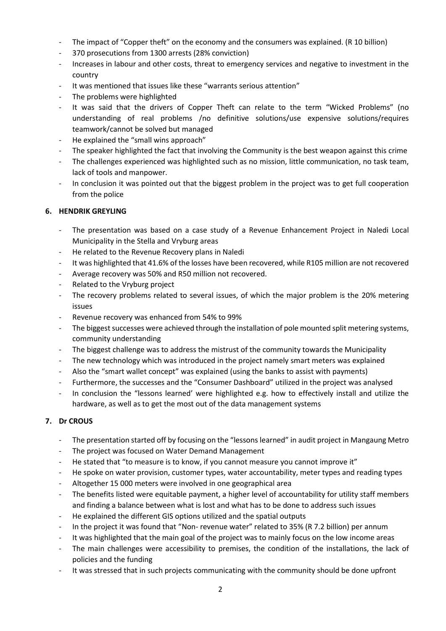- The impact of "Copper theft" on the economy and the consumers was explained. (R 10 billion)
- 370 prosecutions from 1300 arrests (28% conviction)
- Increases in labour and other costs, threat to emergency services and negative to investment in the country
- It was mentioned that issues like these "warrants serious attention"
- The problems were highlighted
- It was said that the drivers of Copper Theft can relate to the term "Wicked Problems" (no understanding of real problems /no definitive solutions/use expensive solutions/requires teamwork/cannot be solved but managed
- He explained the "small wins approach"
- The speaker highlighted the fact that involving the Community is the best weapon against this crime
- The challenges experienced was highlighted such as no mission, little communication, no task team, lack of tools and manpower.
- In conclusion it was pointed out that the biggest problem in the project was to get full cooperation from the police

## **6. HENDRIK GREYLING**

- The presentation was based on a case study of a Revenue Enhancement Project in Naledi Local Municipality in the Stella and Vryburg areas
- He related to the Revenue Recovery plans in Naledi
- It was highlighted that 41.6% of the losses have been recovered, while R105 million are not recovered
- Average recovery was 50% and R50 million not recovered.
- Related to the Vryburg project
- The recovery problems related to several issues, of which the major problem is the 20% metering issues
- Revenue recovery was enhanced from 54% to 99%
- The biggest successes were achieved through the installation of pole mounted split metering systems, community understanding
- The biggest challenge was to address the mistrust of the community towards the Municipality
- The new technology which was introduced in the project namely smart meters was explained
- Also the "smart wallet concept" was explained (using the banks to assist with payments)
- Furthermore, the successes and the "Consumer Dashboard" utilized in the project was analysed
- In conclusion the "lessons learned' were highlighted e.g. how to effectively install and utilize the hardware, as well as to get the most out of the data management systems

# **7. Dr CROUS**

- The presentation started off by focusing on the "lessons learned" in audit project in Mangaung Metro
- The project was focused on Water Demand Management
- He stated that "to measure is to know, if you cannot measure you cannot improve it"
- He spoke on water provision, customer types, water accountability, meter types and reading types
- Altogether 15 000 meters were involved in one geographical area
- The benefits listed were equitable payment, a higher level of accountability for utility staff members and finding a balance between what is lost and what has to be done to address such issues
- He explained the different GIS options utilized and the spatial outputs
- In the project it was found that "Non- revenue water" related to 35% (R 7.2 billion) per annum
- It was highlighted that the main goal of the project was to mainly focus on the low income areas
- The main challenges were accessibility to premises, the condition of the installations, the lack of policies and the funding
- It was stressed that in such projects communicating with the community should be done upfront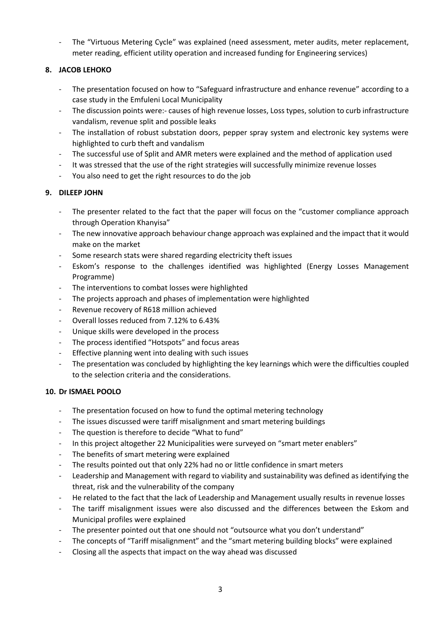The "Virtuous Metering Cycle" was explained (need assessment, meter audits, meter replacement, meter reading, efficient utility operation and increased funding for Engineering services)

# **8. JACOB LEHOKO**

- The presentation focused on how to "Safeguard infrastructure and enhance revenue" according to a case study in the Emfuleni Local Municipality
- The discussion points were:- causes of high revenue losses, Loss types, solution to curb infrastructure vandalism, revenue split and possible leaks
- The installation of robust substation doors, pepper spray system and electronic key systems were highlighted to curb theft and vandalism
- The successful use of Split and AMR meters were explained and the method of application used
- It was stressed that the use of the right strategies will successfully minimize revenue losses
- You also need to get the right resources to do the job

#### **9. DILEEP JOHN**

- The presenter related to the fact that the paper will focus on the "customer compliance approach through Operation Khanyisa"
- The new innovative approach behaviour change approach was explained and the impact that it would make on the market
- Some research stats were shared regarding electricity theft issues
- Eskom's response to the challenges identified was highlighted (Energy Losses Management Programme)
- The interventions to combat losses were highlighted
- The projects approach and phases of implementation were highlighted
- Revenue recovery of R618 million achieved
- Overall losses reduced from 7.12% to 6.43%
- Unique skills were developed in the process
- The process identified "Hotspots" and focus areas
- Effective planning went into dealing with such issues
- The presentation was concluded by highlighting the key learnings which were the difficulties coupled to the selection criteria and the considerations.

#### **10. Dr ISMAEL POOLO**

- The presentation focused on how to fund the optimal metering technology
- The issues discussed were tariff misalignment and smart metering buildings
- The question is therefore to decide "What to fund"
- In this project altogether 22 Municipalities were surveyed on "smart meter enablers"
- The benefits of smart metering were explained
- The results pointed out that only 22% had no or little confidence in smart meters
- Leadership and Management with regard to viability and sustainability was defined as identifying the threat, risk and the vulnerability of the company
- He related to the fact that the lack of Leadership and Management usually results in revenue losses
- The tariff misalignment issues were also discussed and the differences between the Eskom and Municipal profiles were explained
- The presenter pointed out that one should not "outsource what you don't understand"
- The concepts of "Tariff misalignment" and the "smart metering building blocks" were explained
- Closing all the aspects that impact on the way ahead was discussed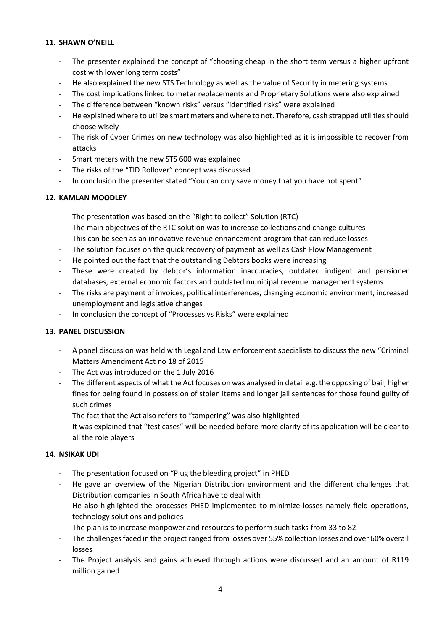#### **11. SHAWN O'NEILL**

- The presenter explained the concept of "choosing cheap in the short term versus a higher upfront cost with lower long term costs"
- He also explained the new STS Technology as well as the value of Security in metering systems
- The cost implications linked to meter replacements and Proprietary Solutions were also explained
- The difference between "known risks" versus "identified risks" were explained
- He explained where to utilize smart meters and where to not. Therefore, cash strapped utilities should choose wisely
- The risk of Cyber Crimes on new technology was also highlighted as it is impossible to recover from attacks
- Smart meters with the new STS 600 was explained
- The risks of the "TID Rollover" concept was discussed
- In conclusion the presenter stated "You can only save money that you have not spent"

#### **12. KAMLAN MOODLEY**

- The presentation was based on the "Right to collect" Solution (RTC)
- The main objectives of the RTC solution was to increase collections and change cultures
- This can be seen as an innovative revenue enhancement program that can reduce losses
- The solution focuses on the quick recovery of payment as well as Cash Flow Management
- He pointed out the fact that the outstanding Debtors books were increasing
- These were created by debtor's information inaccuracies, outdated indigent and pensioner databases, external economic factors and outdated municipal revenue management systems
- The risks are payment of invoices, political interferences, changing economic environment, increased unemployment and legislative changes
- In conclusion the concept of "Processes vs Risks" were explained

#### **13. PANEL DISCUSSION**

- A panel discussion was held with Legal and Law enforcement specialists to discuss the new "Criminal Matters Amendment Act no 18 of 2015
- The Act was introduced on the 1 July 2016
- The different aspects of what the Act focuses on was analysed in detail e.g. the opposing of bail, higher fines for being found in possession of stolen items and longer jail sentences for those found guilty of such crimes
- The fact that the Act also refers to "tampering" was also highlighted
- It was explained that "test cases" will be needed before more clarity of its application will be clear to all the role players

#### **14. NSIKAK UDI**

- The presentation focused on "Plug the bleeding project" in PHED
- He gave an overview of the Nigerian Distribution environment and the different challenges that Distribution companies in South Africa have to deal with
- He also highlighted the processes PHED implemented to minimize losses namely field operations, technology solutions and policies
- The plan is to increase manpower and resources to perform such tasks from 33 to 82
- The challenges faced in the project ranged from losses over 55% collection losses and over 60% overall losses
- The Project analysis and gains achieved through actions were discussed and an amount of R119 million gained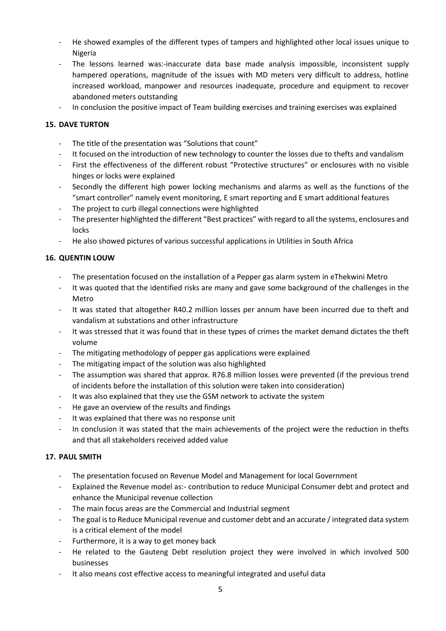- He showed examples of the different types of tampers and highlighted other local issues unique to Nigeria
- The lessons learned was:-inaccurate data base made analysis impossible, inconsistent supply hampered operations, magnitude of the issues with MD meters very difficult to address, hotline increased workload, manpower and resources inadequate, procedure and equipment to recover abandoned meters outstanding
- In conclusion the positive impact of Team building exercises and training exercises was explained

## **15. DAVE TURTON**

- The title of the presentation was "Solutions that count"
- It focused on the introduction of new technology to counter the losses due to thefts and vandalism
- First the effectiveness of the different robust "Protective structures" or enclosures with no visible hinges or locks were explained
- Secondly the different high power locking mechanisms and alarms as well as the functions of the "smart controller" namely event monitoring, E smart reporting and E smart additional features
- The project to curb illegal connections were highlighted
- The presenter highlighted the different "Best practices" with regard to all the systems, enclosures and locks
- He also showed pictures of various successful applications in Utilities in South Africa

## **16. QUENTIN LOUW**

- The presentation focused on the installation of a Pepper gas alarm system in eThekwini Metro
- It was quoted that the identified risks are many and gave some background of the challenges in the Metro
- It was stated that altogether R40.2 million losses per annum have been incurred due to theft and vandalism at substations and other infrastructure
- It was stressed that it was found that in these types of crimes the market demand dictates the theft volume
- The mitigating methodology of pepper gas applications were explained
- The mitigating impact of the solution was also highlighted
- The assumption was shared that approx. R76.8 million losses were prevented (if the previous trend of incidents before the installation of this solution were taken into consideration)
- It was also explained that they use the GSM network to activate the system
- He gave an overview of the results and findings
- It was explained that there was no response unit
- In conclusion it was stated that the main achievements of the project were the reduction in thefts and that all stakeholders received added value

#### **17. PAUL SMITH**

- The presentation focused on Revenue Model and Management for local Government
- Explained the Revenue model as:- contribution to reduce Municipal Consumer debt and protect and enhance the Municipal revenue collection
- The main focus areas are the Commercial and Industrial segment
- The goal is to Reduce Municipal revenue and customer debt and an accurate / integrated data system is a critical element of the model
- Furthermore, it is a way to get money back
- He related to the Gauteng Debt resolution project they were involved in which involved 500 businesses
- It also means cost effective access to meaningful integrated and useful data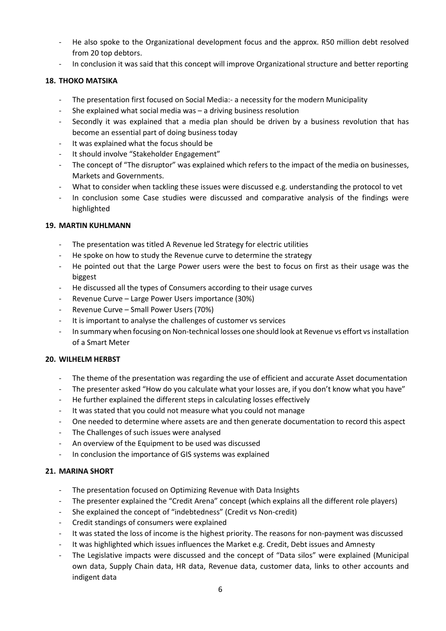- He also spoke to the Organizational development focus and the approx. R50 million debt resolved from 20 top debtors.
- In conclusion it was said that this concept will improve Organizational structure and better reporting

#### **18. THOKO MATSIKA**

- The presentation first focused on Social Media:- a necessity for the modern Municipality
- She explained what social media was a driving business resolution
- Secondly it was explained that a media plan should be driven by a business revolution that has become an essential part of doing business today
- It was explained what the focus should be
- It should involve "Stakeholder Engagement"
- The concept of "The disruptor" was explained which refers to the impact of the media on businesses, Markets and Governments.
- What to consider when tackling these issues were discussed e.g. understanding the protocol to vet
- In conclusion some Case studies were discussed and comparative analysis of the findings were highlighted

#### **19. MARTIN KUHLMANN**

- The presentation was titled A Revenue led Strategy for electric utilities
- He spoke on how to study the Revenue curve to determine the strategy
- He pointed out that the Large Power users were the best to focus on first as their usage was the biggest
- He discussed all the types of Consumers according to their usage curves
- Revenue Curve Large Power Users importance (30%)
- Revenue Curve Small Power Users (70%)
- It is important to analyse the challenges of customer vs services
- In summary when focusing on Non-technical losses one should look at Revenue vs effort vs installation of a Smart Meter

#### **20. WILHELM HERBST**

- The theme of the presentation was regarding the use of efficient and accurate Asset documentation
- The presenter asked "How do you calculate what your losses are, if you don't know what you have"
- He further explained the different steps in calculating losses effectively
- It was stated that you could not measure what you could not manage
- One needed to determine where assets are and then generate documentation to record this aspect
- The Challenges of such issues were analysed
- An overview of the Equipment to be used was discussed
- In conclusion the importance of GIS systems was explained

#### **21. MARINA SHORT**

- The presentation focused on Optimizing Revenue with Data Insights
- The presenter explained the "Credit Arena" concept (which explains all the different role players)
- She explained the concept of "indebtedness" (Credit vs Non-credit)
- Credit standings of consumers were explained
- It was stated the loss of income is the highest priority. The reasons for non-payment was discussed
- It was highlighted which issues influences the Market e.g. Credit, Debt issues and Amnesty
- The Legislative impacts were discussed and the concept of "Data silos" were explained (Municipal own data, Supply Chain data, HR data, Revenue data, customer data, links to other accounts and indigent data